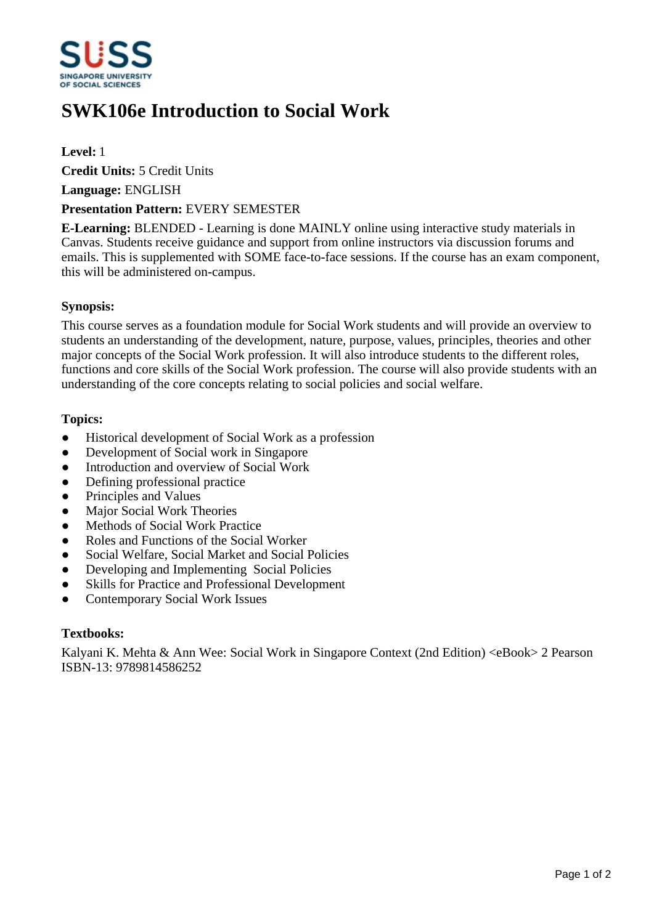

# **SWK106e Introduction to Social Work**

**Level:** 1

**Credit Units:** 5 Credit Units

**Language:** ENGLISH

## **Presentation Pattern:** EVERY SEMESTER

**E-Learning:** BLENDED - Learning is done MAINLY online using interactive study materials in Canvas. Students receive guidance and support from online instructors via discussion forums and emails. This is supplemented with SOME face-to-face sessions. If the course has an exam component, this will be administered on-campus.

# **Synopsis:**

This course serves as a foundation module for Social Work students and will provide an overview to students an understanding of the development, nature, purpose, values, principles, theories and other major concepts of the Social Work profession. It will also introduce students to the different roles, functions and core skills of the Social Work profession. The course will also provide students with an understanding of the core concepts relating to social policies and social welfare.

## **Topics:**

- Historical development of Social Work as a profession
- Development of Social work in Singapore
- Introduction and overview of Social Work
- Defining professional practice
- Principles and Values
- Major Social Work Theories
- Methods of Social Work Practice
- Roles and Functions of the Social Worker
- Social Welfare, Social Market and Social Policies
- Developing and Implementing Social Policies
- Skills for Practice and Professional Development
- Contemporary Social Work Issues

#### **Textbooks:**

Kalyani K. Mehta & Ann Wee: Social Work in Singapore Context (2nd Edition) <eBook> 2 Pearson ISBN-13: 9789814586252